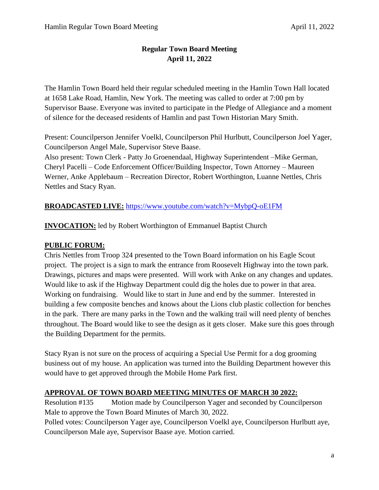# **Regular Town Board Meeting April 11, 2022**

The Hamlin Town Board held their regular scheduled meeting in the Hamlin Town Hall located at 1658 Lake Road, Hamlin, New York. The meeting was called to order at 7:00 pm by Supervisor Baase. Everyone was invited to participate in the Pledge of Allegiance and a moment of silence for the deceased residents of Hamlin and past Town Historian Mary Smith.

Present: Councilperson Jennifer Voelkl, Councilperson Phil Hurlbutt, Councilperson Joel Yager, Councilperson Angel Male, Supervisor Steve Baase.

Also present: Town Clerk - Patty Jo Groenendaal, Highway Superintendent –Mike German, Cheryl Pacelli – Code Enforcement Officer/Building Inspector, Town Attorney – Maureen Werner, Anke Applebaum – Recreation Director, Robert Worthington, Luanne Nettles, Chris Nettles and Stacy Ryan.

# **BROADCASTED LIVE:** <https://www.youtube.com/watch?v=MybpQ-oE1FM>

**INVOCATION:** led by Robert Worthington of Emmanuel Baptist Church

# **PUBLIC FORUM:**

Chris Nettles from Troop 324 presented to the Town Board information on his Eagle Scout project. The project is a sign to mark the entrance from Roosevelt Highway into the town park. Drawings, pictures and maps were presented. Will work with Anke on any changes and updates. Would like to ask if the Highway Department could dig the holes due to power in that area. Working on fundraising. Would like to start in June and end by the summer. Interested in building a few composite benches and knows about the Lions club plastic collection for benches in the park. There are many parks in the Town and the walking trail will need plenty of benches throughout. The Board would like to see the design as it gets closer. Make sure this goes through the Building Department for the permits.

Stacy Ryan is not sure on the process of acquiring a Special Use Permit for a dog grooming business out of my house. An application was turned into the Building Department however this would have to get approved through the Mobile Home Park first.

# **APPROVAL OF TOWN BOARD MEETING MINUTES OF MARCH 30 2022:**

Resolution #135 Motion made by Councilperson Yager and seconded by Councilperson Male to approve the Town Board Minutes of March 30, 2022.

Polled votes: Councilperson Yager aye, Councilperson Voelkl aye, Councilperson Hurlbutt aye, Councilperson Male aye, Supervisor Baase aye. Motion carried.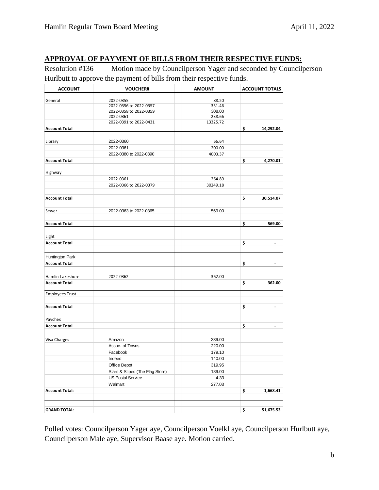# **APPROVAL OF PAYMENT OF BILLS FROM THEIR RESPECTIVE FUNDS:**

Resolution #136 Motion made by Councilperson Yager and seconded by Councilperson Hurlbutt to approve the payment of bills from their respective funds.

| <b>ACCOUNT</b>         | <b>VOUCHER#</b>                 | <b>AMOUNT</b> | <b>ACCOUNT TOTALS</b> |                          |
|------------------------|---------------------------------|---------------|-----------------------|--------------------------|
|                        | 2022-0355                       | 88.20         |                       |                          |
| General                | 2022-0356 to 2022-0357          | 331.46        |                       |                          |
|                        | 2022-0358 to 2022-0359          | 308.00        |                       |                          |
|                        | 2022-0361                       | 238.66        |                       |                          |
|                        | 2022-0391 to 2022-0431          | 13325.72      |                       |                          |
| <b>Account Total</b>   |                                 |               | \$                    | 14,292.04                |
|                        |                                 |               |                       |                          |
| Library                | 2022-0360                       | 66.64         |                       |                          |
|                        | 2022-0361                       | 200.00        |                       |                          |
|                        | 2022-0380 to 2022-0390          | 4003.37       |                       |                          |
| <b>Account Total</b>   |                                 |               | \$                    | 4,270.01                 |
| Highway                |                                 |               |                       |                          |
|                        | 2022-0361                       | 264.89        |                       |                          |
|                        | 2022-0366 to 2022-0379          | 30249.18      |                       |                          |
| <b>Account Total</b>   |                                 |               | \$.                   | 30,514.07                |
|                        |                                 |               |                       |                          |
| Sewer                  | 2022-0363 to 2022-0365          | 569.00        |                       |                          |
| <b>Account Total</b>   |                                 |               | \$                    | 569.00                   |
|                        |                                 |               |                       |                          |
| Light                  |                                 |               |                       |                          |
| <b>Account Total</b>   |                                 |               | \$                    |                          |
| Huntington Park        |                                 |               |                       |                          |
| <b>Account Total</b>   |                                 |               | \$                    |                          |
| Hamlin-Lakeshore       | 2022-0362                       | 362.00        |                       |                          |
| <b>Account Total</b>   |                                 |               | \$                    | 362.00                   |
| <b>Employees Trust</b> |                                 |               |                       |                          |
|                        |                                 |               |                       |                          |
| <b>Account Total</b>   |                                 |               | \$                    | $\overline{\phantom{a}}$ |
| Paychex                |                                 |               |                       |                          |
| <b>Account Total</b>   |                                 |               | \$                    | $\overline{\phantom{a}}$ |
| Visa Charges           | Amazon                          | 339.00        |                       |                          |
|                        | Assoc. of Towns                 | 220.00        |                       |                          |
|                        | Facebook                        | 179.10        |                       |                          |
|                        | Indeed                          | 140.00        |                       |                          |
|                        | Office Depot                    | 319.95        |                       |                          |
|                        | Stars & Stipes (The Flag Store) | 189.00        |                       |                          |
|                        |                                 |               |                       |                          |
|                        | <b>US Postal Service</b>        | 4.33          |                       |                          |
|                        | Walmart                         | 277.03        |                       |                          |
| <b>Account Total:</b>  |                                 |               | \$                    | 1,668.41                 |
|                        |                                 |               |                       |                          |
| <b>GRAND TOTAL:</b>    |                                 |               | \$                    | 51,675.53                |

Polled votes: Councilperson Yager aye, Councilperson Voelkl aye, Councilperson Hurlbutt aye, Councilperson Male aye, Supervisor Baase aye. Motion carried.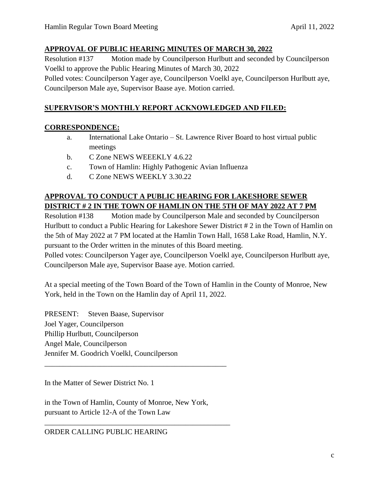### **APPROVAL OF PUBLIC HEARING MINUTES OF MARCH 30, 2022**

Resolution #137 Motion made by Councilperson Hurlbutt and seconded by Councilperson Voelkl to approve the Public Hearing Minutes of March 30, 2022 Polled votes: Councilperson Yager aye, Councilperson Voelkl aye, Councilperson Hurlbutt aye,

Councilperson Male aye, Supervisor Baase aye. Motion carried.

# **SUPERVISOR'S MONTHLY REPORT ACKNOWLEDGED AND FILED:**

# **CORRESPONDENCE:**

- a. International Lake Ontario St. Lawrence River Board to host virtual public meetings
- b. C Zone NEWS WEEEKLY 4.6.22
- c. Town of Hamlin: Highly Pathogenic Avian Influenza
- d. C Zone NEWS WEEKLY 3.30.22

# **APPROVAL TO CONDUCT A PUBLIC HEARING FOR LAKESHORE SEWER DISTRICT # 2 IN THE TOWN OF HAMLIN ON THE 5TH OF MAY 2022 AT 7 PM**

Resolution #138 Motion made by Councilperson Male and seconded by Councilperson Hurlbutt to conduct a Public Hearing for Lakeshore Sewer District # 2 in the Town of Hamlin on the 5th of May 2022 at 7 PM located at the Hamlin Town Hall, 1658 Lake Road, Hamlin, N.Y. pursuant to the Order written in the minutes of this Board meeting.

Polled votes: Councilperson Yager aye, Councilperson Voelkl aye, Councilperson Hurlbutt aye, Councilperson Male aye, Supervisor Baase aye. Motion carried.

At a special meeting of the Town Board of the Town of Hamlin in the County of Monroe, New York, held in the Town on the Hamlin day of April 11, 2022.

PRESENT: Steven Baase, Supervisor Joel Yager, Councilperson Phillip Hurlbutt, Councilperson Angel Male, Councilperson Jennifer M. Goodrich Voelkl, Councilperson

In the Matter of Sewer District No. 1

in the Town of Hamlin, County of Monroe, New York, pursuant to Article 12-A of the Town Law

\_\_\_\_\_\_\_\_\_\_\_\_\_\_\_\_\_\_\_\_\_\_\_\_\_\_\_\_\_\_\_\_\_\_\_\_\_\_\_\_\_\_\_\_\_\_\_\_\_

\_\_\_\_\_\_\_\_\_\_\_\_\_\_\_\_\_\_\_\_\_\_\_\_\_\_\_\_\_\_\_\_\_\_\_\_\_\_\_\_\_\_\_\_\_\_\_\_\_\_

ORDER CALLING PUBLIC HEARING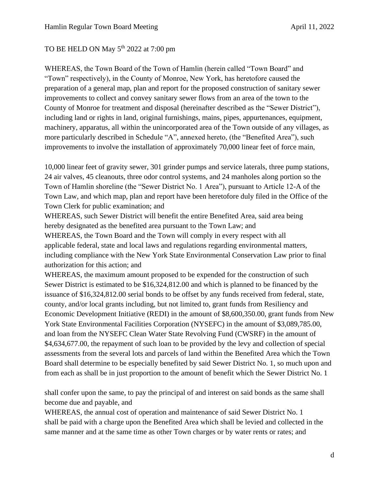### TO BE HELD ON May 5<sup>th</sup> 2022 at 7:00 pm

WHEREAS, the Town Board of the Town of Hamlin (herein called "Town Board" and "Town" respectively), in the County of Monroe, New York, has heretofore caused the preparation of a general map, plan and report for the proposed construction of sanitary sewer improvements to collect and convey sanitary sewer flows from an area of the town to the County of Monroe for treatment and disposal (hereinafter described as the "Sewer District"), including land or rights in land, original furnishings, mains, pipes, appurtenances, equipment, machinery, apparatus, all within the unincorporated area of the Town outside of any villages, as more particularly described in Schedule "A", annexed hereto, (the "Benefited Area"), such improvements to involve the installation of approximately 70,000 linear feet of force main,

10,000 linear feet of gravity sewer, 301 grinder pumps and service laterals, three pump stations, 24 air valves, 45 cleanouts, three odor control systems, and 24 manholes along portion so the Town of Hamlin shoreline (the "Sewer District No. 1 Area"), pursuant to Article 12-A of the Town Law, and which map, plan and report have been heretofore duly filed in the Office of the Town Clerk for public examination; and

WHEREAS, such Sewer District will benefit the entire Benefited Area, said area being hereby designated as the benefited area pursuant to the Town Law; and

WHEREAS, the Town Board and the Town will comply in every respect with all applicable federal, state and local laws and regulations regarding environmental matters, including compliance with the New York State Environmental Conservation Law prior to final authorization for this action; and

WHEREAS, the maximum amount proposed to be expended for the construction of such Sewer District is estimated to be \$16,324,812.00 and which is planned to be financed by the issuance of \$16,324,812.00 serial bonds to be offset by any funds received from federal, state, county, and/or local grants including, but not limited to, grant funds from Resiliency and Economic Development Initiative (REDI) in the amount of \$8,600,350.00, grant funds from New York State Environmental Facilities Corporation (NYSEFC) in the amount of \$3,089,785.00, and loan from the NYSEFC Clean Water State Revolving Fund (CWSRF) in the amount of \$4,634,677.00, the repayment of such loan to be provided by the levy and collection of special assessments from the several lots and parcels of land within the Benefited Area which the Town Board shall determine to be especially benefited by said Sewer District No. 1, so much upon and from each as shall be in just proportion to the amount of benefit which the Sewer District No. 1

shall confer upon the same, to pay the principal of and interest on said bonds as the same shall become due and payable, and

WHEREAS, the annual cost of operation and maintenance of said Sewer District No. 1 shall be paid with a charge upon the Benefited Area which shall be levied and collected in the same manner and at the same time as other Town charges or by water rents or rates; and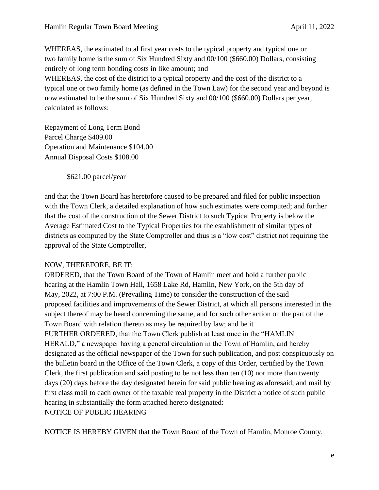WHEREAS, the estimated total first year costs to the typical property and typical one or two family home is the sum of Six Hundred Sixty and 00/100 (\$660.00) Dollars, consisting entirely of long term bonding costs in like amount; and WHEREAS, the cost of the district to a typical property and the cost of the district to a typical one or two family home (as defined in the Town Law) for the second year and beyond is now estimated to be the sum of Six Hundred Sixty and 00/100 (\$660.00) Dollars per year, calculated as follows:

Repayment of Long Term Bond Parcel Charge \$409.00 Operation and Maintenance \$104.00 Annual Disposal Costs \$108.00

\$621.00 parcel/year

and that the Town Board has heretofore caused to be prepared and filed for public inspection with the Town Clerk, a detailed explanation of how such estimates were computed; and further that the cost of the construction of the Sewer District to such Typical Property is below the Average Estimated Cost to the Typical Properties for the establishment of similar types of districts as computed by the State Comptroller and thus is a "low cost" district not requiring the approval of the State Comptroller,

### NOW, THEREFORE, BE IT:

ORDERED, that the Town Board of the Town of Hamlin meet and hold a further public hearing at the Hamlin Town Hall, 1658 Lake Rd, Hamlin, New York, on the 5th day of May, 2022, at 7:00 P.M. (Prevailing Time) to consider the construction of the said proposed facilities and improvements of the Sewer District, at which all persons interested in the subject thereof may be heard concerning the same, and for such other action on the part of the Town Board with relation thereto as may be required by law; and be it FURTHER ORDERED, that the Town Clerk publish at least once in the "HAMLIN HERALD," a newspaper having a general circulation in the Town of Hamlin, and hereby designated as the official newspaper of the Town for such publication, and post conspicuously on the bulletin board in the Office of the Town Clerk, a copy of this Order, certified by the Town Clerk, the first publication and said posting to be not less than ten (10) nor more than twenty days (20) days before the day designated herein for said public hearing as aforesaid; and mail by first class mail to each owner of the taxable real property in the District a notice of such public hearing in substantially the form attached hereto designated: NOTICE OF PUBLIC HEARING

NOTICE IS HEREBY GIVEN that the Town Board of the Town of Hamlin, Monroe County,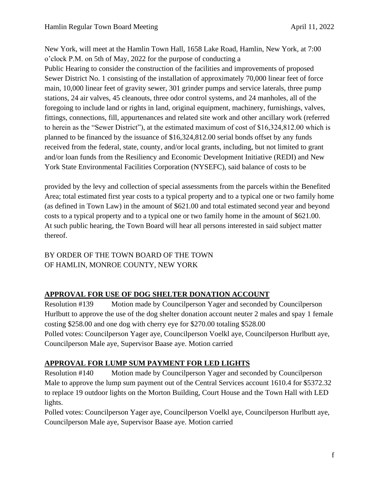New York, will meet at the Hamlin Town Hall, 1658 Lake Road, Hamlin, New York, at 7:00 o'clock P.M. on 5th of May, 2022 for the purpose of conducting a

Public Hearing to consider the construction of the facilities and improvements of proposed Sewer District No. 1 consisting of the installation of approximately 70,000 linear feet of force main, 10,000 linear feet of gravity sewer, 301 grinder pumps and service laterals, three pump stations, 24 air valves, 45 cleanouts, three odor control systems, and 24 manholes, all of the foregoing to include land or rights in land, original equipment, machinery, furnishings, valves, fittings, connections, fill, appurtenances and related site work and other ancillary work (referred to herein as the "Sewer District"), at the estimated maximum of cost of \$16,324,812.00 which is planned to be financed by the issuance of \$16,324,812.00 serial bonds offset by any funds received from the federal, state, county, and/or local grants, including, but not limited to grant and/or loan funds from the Resiliency and Economic Development Initiative (REDI) and New York State Environmental Facilities Corporation (NYSEFC), said balance of costs to be

provided by the levy and collection of special assessments from the parcels within the Benefited Area; total estimated first year costs to a typical property and to a typical one or two family home (as defined in Town Law) in the amount of \$621.00 and total estimated second year and beyond costs to a typical property and to a typical one or two family home in the amount of \$621.00. At such public hearing, the Town Board will hear all persons interested in said subject matter thereof.

# BY ORDER OF THE TOWN BOARD OF THE TOWN OF HAMLIN, MONROE COUNTY, NEW YORK

# **APPROVAL FOR USE OF DOG SHELTER DONATION ACCOUNT**

Resolution #139 Motion made by Councilperson Yager and seconded by Councilperson Hurlbutt to approve the use of the dog shelter donation account neuter 2 males and spay 1 female costing \$258.00 and one dog with cherry eye for \$270.00 totaling \$528.00 Polled votes: Councilperson Yager aye, Councilperson Voelkl aye, Councilperson Hurlbutt aye, Councilperson Male aye, Supervisor Baase aye. Motion carried

# **APPROVAL FOR LUMP SUM PAYMENT FOR LED LIGHTS**

Resolution #140 Motion made by Councilperson Yager and seconded by Councilperson Male to approve the lump sum payment out of the Central Services account 1610.4 for \$5372.32 to replace 19 outdoor lights on the Morton Building, Court House and the Town Hall with LED lights.

Polled votes: Councilperson Yager aye, Councilperson Voelkl aye, Councilperson Hurlbutt aye, Councilperson Male aye, Supervisor Baase aye. Motion carried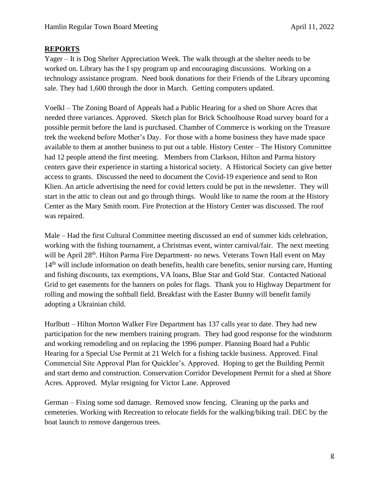#### **REPORTS**

Yager – It is Dog Shelter Appreciation Week. The walk through at the shelter needs to be worked on. Library has the I spy program up and encouraging discussions. Working on a technology assistance program. Need book donations for their Friends of the Library upcoming sale. They had 1,600 through the door in March. Getting computers updated.

Voelkl – The Zoning Board of Appeals had a Public Hearing for a shed on Shore Acres that needed three variances. Approved. Sketch plan for Brick Schoolhouse Road survey board for a possible permit before the land is purchased. Chamber of Commerce is working on the Treasure trek the weekend before Mother's Day. For those with a home business they have made space available to them at another business to put out a table. History Center – The History Committee had 12 people attend the first meeting. Members from Clarkson, Hilton and Parma history centers gave their experience in starting a historical society. A Historical Society can give better access to grants. Discussed the need to document the Covid-19 experience and send to Ron Klien. An article advertising the need for covid letters could be put in the newsletter. They will start in the attic to clean out and go through things. Would like to name the room at the History Center as the Mary Smith room. Fire Protection at the History Center was discussed. The roof was repaired.

Male – Had the first Cultural Committee meeting discussed an end of summer kids celebration, working with the fishing tournament, a Christmas event, winter carnival/fair. The next meeting will be April 28<sup>th</sup>. Hilton Parma Fire Department- no news. Veterans Town Hall event on May 14<sup>th</sup> will include information on death benefits, health care benefits, senior nursing care, Hunting and fishing discounts, tax exemptions, VA loans, Blue Star and Gold Star. Contacted National Grid to get easements for the banners on poles for flags. Thank you to Highway Department for rolling and mowing the softball field. Breakfast with the Easter Bunny will benefit family adopting a Ukrainian child.

Hurlbutt – Hilton Morton Walker Fire Department has 137 calls year to date. They had new participation for the new members training program. They had good response for the windstorm and working remodeling and on replacing the 1996 pumper. Planning Board had a Public Hearing for a Special Use Permit at 21 Welch for a fishing tackle business. Approved. Final Commercial Site Approval Plan for Quicklee's. Approved. Hoping to get the Building Permit and start demo and construction. Conservation Corridor Development Permit for a shed at Shore Acres. Approved. Mylar resigning for Victor Lane. Approved

German – Fixing some sod damage. Removed snow fencing. Cleaning up the parks and cemeteries. Working with Recreation to relocate fields for the walking/biking trail. DEC by the boat launch to remove dangerous trees.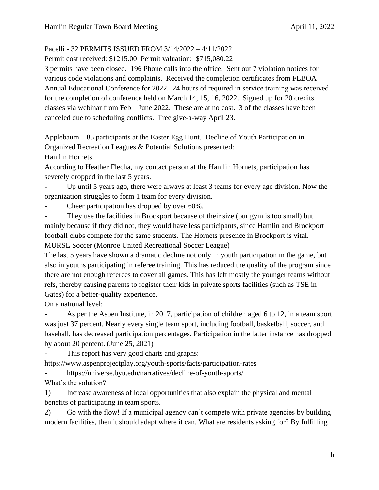# Pacelli - 32 PERMITS ISSUED FROM 3/14/2022 – 4/11/2022

Permit cost received: \$1215.00 Permit valuation: \$715,080.22

3 permits have been closed. 196 Phone calls into the office. Sent out 7 violation notices for various code violations and complaints. Received the completion certificates from FLBOA Annual Educational Conference for 2022. 24 hours of required in service training was received for the completion of conference held on March 14, 15, 16, 2022. Signed up for 20 credits classes via webinar from Feb – June 2022. These are at no cost. 3 of the classes have been canceled due to scheduling conflicts. Tree give-a-way April 23.

Applebaum – 85 participants at the Easter Egg Hunt. Decline of Youth Participation in Organized Recreation Leagues & Potential Solutions presented:

Hamlin Hornets

According to Heather Flecha, my contact person at the Hamlin Hornets, participation has severely dropped in the last 5 years.

Up until 5 years ago, there were always at least 3 teams for every age division. Now the organization struggles to form 1 team for every division.

Cheer participation has dropped by over 60%.

They use the facilities in Brockport because of their size (our gym is too small) but mainly because if they did not, they would have less participants, since Hamlin and Brockport football clubs compete for the same students. The Hornets presence in Brockport is vital. MURSL Soccer (Monroe United Recreational Soccer League)

The last 5 years have shown a dramatic decline not only in youth participation in the game, but also in youths participating in referee training. This has reduced the quality of the program since there are not enough referees to cover all games. This has left mostly the younger teams without refs, thereby causing parents to register their kids in private sports facilities (such as TSE in Gates) for a better-quality experience.

On a national level:

As per the Aspen Institute, in 2017, participation of children aged 6 to 12, in a team sport was just 37 percent. Nearly every single team sport, including football, basketball, soccer, and baseball, has decreased participation percentages. Participation in the latter instance has dropped by about 20 percent. (June 25, 2021)

This report has very good charts and graphs:

https://www.aspenprojectplay.org/youth-sports/facts/participation-rates

- https://universe.byu.edu/narratives/decline-of-youth-sports/

What's the solution?

1) Increase awareness of local opportunities that also explain the physical and mental benefits of participating in team sports.

2) Go with the flow! If a municipal agency can't compete with private agencies by building modern facilities, then it should adapt where it can. What are residents asking for? By fulfilling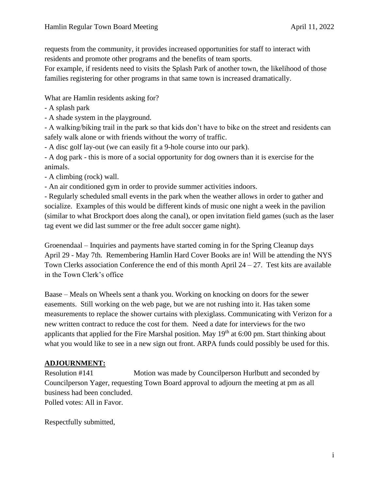requests from the community, it provides increased opportunities for staff to interact with residents and promote other programs and the benefits of team sports.

For example, if residents need to visits the Splash Park of another town, the likelihood of those families registering for other programs in that same town is increased dramatically.

What are Hamlin residents asking for?

- A splash park
- A shade system in the playground.

- A walking/biking trail in the park so that kids don't have to bike on the street and residents can safely walk alone or with friends without the worry of traffic.

- A disc golf lay-out (we can easily fit a 9-hole course into our park).
- A dog park this is more of a social opportunity for dog owners than it is exercise for the animals.
- A climbing (rock) wall.
- An air conditioned gym in order to provide summer activities indoors.

- Regularly scheduled small events in the park when the weather allows in order to gather and socialize. Examples of this would be different kinds of music one night a week in the pavilion (similar to what Brockport does along the canal), or open invitation field games (such as the laser tag event we did last summer or the free adult soccer game night).

Groenendaal – Inquiries and payments have started coming in for the Spring Cleanup days April 29 - May 7th. Remembering Hamlin Hard Cover Books are in! Will be attending the NYS Town Clerks association Conference the end of this month April  $24 - 27$ . Test kits are available in the Town Clerk's office

Baase – Meals on Wheels sent a thank you. Working on knocking on doors for the sewer easements. Still working on the web page, but we are not rushing into it. Has taken some measurements to replace the shower curtains with plexiglass. Communicating with Verizon for a new written contract to reduce the cost for them. Need a date for interviews for the two applicants that applied for the Fire Marshal position. May  $19<sup>th</sup>$  at 6:00 pm. Start thinking about what you would like to see in a new sign out front. ARPA funds could possibly be used for this.

# **ADJOURNMENT:**

Resolution #141 Motion was made by Councilperson Hurlbutt and seconded by Councilperson Yager, requesting Town Board approval to adjourn the meeting at pm as all business had been concluded.

Polled votes: All in Favor.

Respectfully submitted,